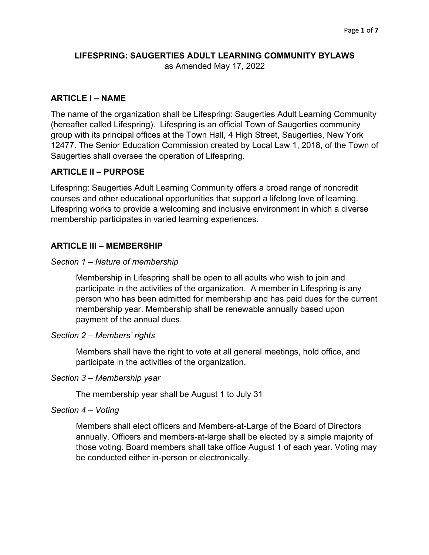# **LIFESPRING: SAUGERTIES ADULT LEARNING COMMUNITY BYLAWS** as Amended May 17, 2022

# **ARTICLE I – NAME**

The name of the organization shall be Lifespring: Saugerties Adult Learning Community (hereafter called Lifespring). Lifespring is an official Town of Saugerties community group with its principal offices at the Town Hall, 4 High Street, Saugerties, New York 12477. The Senior Education Commission created by Local Law 1, 2018, of the Town of Saugerties shall oversee the operation of Lifespring.

# **ARTICLE II – PURPOSE**

Lifespring: Saugerties Adult Learning Community offers a broad range of noncredit courses and other educational opportunities that support a lifelong love of learning. Lifespring works to provide a welcoming and inclusive environment in which a diverse membership participates in varied learning experiences.

# **ARTICLE III – MEMBERSHIP**

## *Section 1 – Nature of membership*

Membership in Lifespring shall be open to all adults who wish to join and participate in the activities of the organization. A member in Lifespring is any person who has been admitted for membership and has paid dues for the current membership year. Membership shall be renewable annually based upon payment of the annual dues.

## *Section 2 – Members' rights*

Members shall have the right to vote at all general meetings, hold office, and participate in the activities of the organization.

## *Section 3 – Membership year*

The membership year shall be August 1 to July 31

## *Section 4 – Voting*

Members shall elect officers and Members-at-Large of the Board of Directors annually. Officers and members-at-large shall be elected by a simple majority of those voting. Board members shall take office August 1 of each year. Voting may be conducted either in-person or electronically.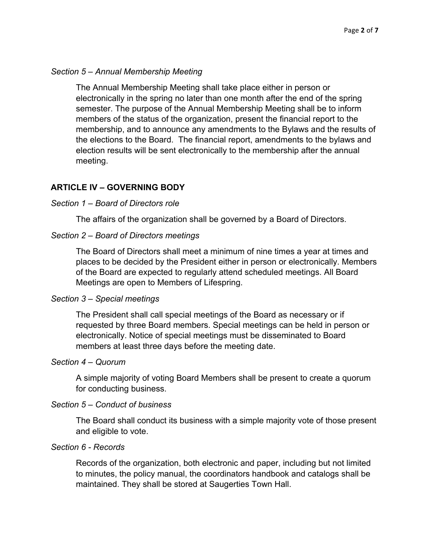## *Section 5 – Annual Membership Meeting*

The Annual Membership Meeting shall take place either in person or electronically in the spring no later than one month after the end of the spring semester. The purpose of the Annual Membership Meeting shall be to inform members of the status of the organization, present the financial report to the membership, and to announce any amendments to the Bylaws and the results of the elections to the Board. The financial report, amendments to the bylaws and election results will be sent electronically to the membership after the annual meeting.

# **ARTICLE IV – GOVERNING BODY**

## *Section 1 – Board of Directors role*

The affairs of the organization shall be governed by a Board of Directors.

# *Section 2 – Board of Directors meetings*

The Board of Directors shall meet a minimum of nine times a year at times and places to be decided by the President either in person or electronically. Members of the Board are expected to regularly attend scheduled meetings. All Board Meetings are open to Members of Lifespring.

## *Section 3 – Special meetings*

The President shall call special meetings of the Board as necessary or if requested by three Board members. Special meetings can be held in person or electronically. Notice of special meetings must be disseminated to Board members at least three days before the meeting date.

## *Section 4 – Quorum*

A simple majority of voting Board Members shall be present to create a quorum for conducting business.

## *Section 5 – Conduct of business*

The Board shall conduct its business with a simple majority vote of those present and eligible to vote.

## *Section 6 - Records*

Records of the organization, both electronic and paper, including but not limited to minutes, the policy manual, the coordinators handbook and catalogs shall be maintained. They shall be stored at Saugerties Town Hall.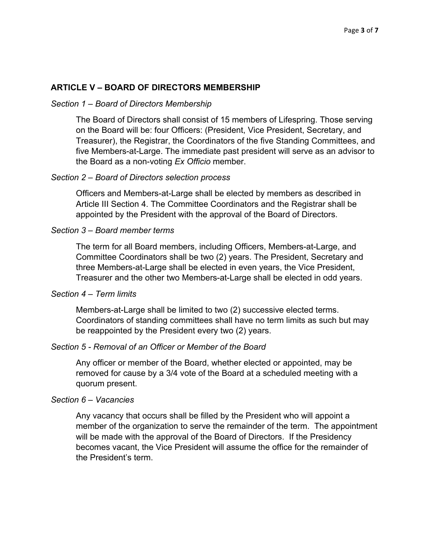### **ARTICLE V – BOARD OF DIRECTORS MEMBERSHIP**

#### *Section 1 – Board of Directors Membership*

The Board of Directors shall consist of 15 members of Lifespring. Those serving on the Board will be: four Officers: (President, Vice President, Secretary, and Treasurer), the Registrar, the Coordinators of the five Standing Committees, and five Members-at-Large. The immediate past president will serve as an advisor to the Board as a non-voting *Ex Officio* member.

#### *Section 2 – Board of Directors selection process*

Officers and Members-at-Large shall be elected by members as described in Article III Section 4. The Committee Coordinators and the Registrar shall be appointed by the President with the approval of the Board of Directors.

#### *Section 3 – Board member terms*

The term for all Board members, including Officers, Members-at-Large, and Committee Coordinators shall be two (2) years. The President, Secretary and three Members-at-Large shall be elected in even years, the Vice President, Treasurer and the other two Members-at-Large shall be elected in odd years.

### *Section 4 – Term limits*

Members-at-Large shall be limited to two (2) successive elected terms. Coordinators of standing committees shall have no term limits as such but may be reappointed by the President every two (2) years.

### *Section 5 - Removal of an Officer or Member of the Board*

Any officer or member of the Board, whether elected or appointed, may be removed for cause by a 3/4 vote of the Board at a scheduled meeting with a quorum present.

### *Section 6 – Vacancies*

Any vacancy that occurs shall be filled by the President who will appoint a member of the organization to serve the remainder of the term. The appointment will be made with the approval of the Board of Directors. If the Presidency becomes vacant, the Vice President will assume the office for the remainder of the President's term.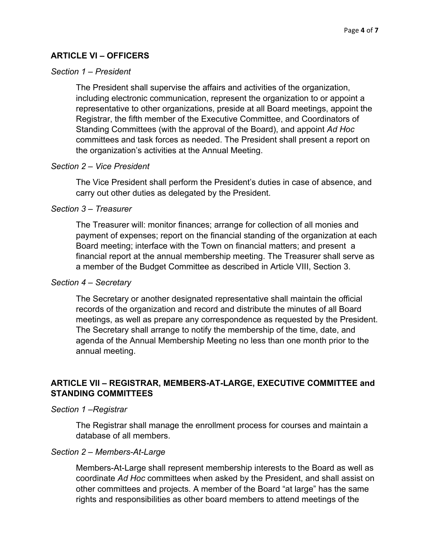# **ARTICLE VI – OFFICERS**

## *Section 1 – President*

The President shall supervise the affairs and activities of the organization, including electronic communication, represent the organization to or appoint a representative to other organizations, preside at all Board meetings, appoint the Registrar, the fifth member of the Executive Committee, and Coordinators of Standing Committees (with the approval of the Board), and appoint *Ad Hoc* committees and task forces as needed. The President shall present a report on the organization's activities at the Annual Meeting.

#### *Section 2 – Vice President*

The Vice President shall perform the President's duties in case of absence, and carry out other duties as delegated by the President.

### *Section 3 – Treasurer*

The Treasurer will: monitor finances; arrange for collection of all monies and payment of expenses; report on the financial standing of the organization at each Board meeting; interface with the Town on financial matters; and present a financial report at the annual membership meeting. The Treasurer shall serve as a member of the Budget Committee as described in Article VIII, Section 3.

## *Section 4 – Secretary*

The Secretary or another designated representative shall maintain the official records of the organization and record and distribute the minutes of all Board meetings, as well as prepare any correspondence as requested by the President. The Secretary shall arrange to notify the membership of the time, date, and agenda of the Annual Membership Meeting no less than one month prior to the annual meeting.

# **ARTICLE VII – REGISTRAR, MEMBERS-AT-LARGE, EXECUTIVE COMMITTEE and STANDING COMMITTEES**

#### *Section 1 –Registrar*

The Registrar shall manage the enrollment process for courses and maintain a database of all members.

### *Section 2 – Members-At-Large*

Members-At-Large shall represent membership interests to the Board as well as coordinate *Ad Hoc* committees when asked by the President, and shall assist on other committees and projects. A member of the Board "at large" has the same rights and responsibilities as other board members to attend meetings of the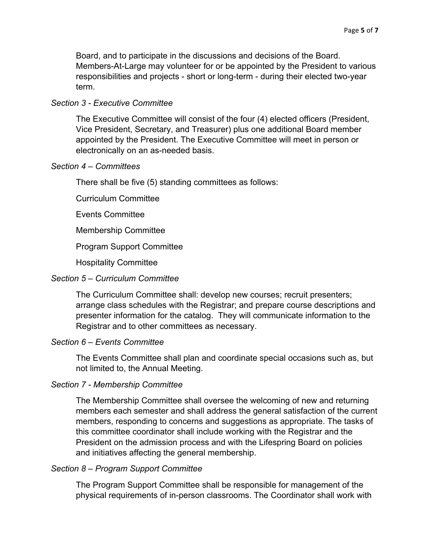Board, and to participate in the discussions and decisions of the Board. Members-At-Large may volunteer for or be appointed by the President to various responsibilities and projects - short or long-term - during their elected two-year term.

### *Section 3 - Executive Committee*

The Executive Committee will consist of the four (4) elected officers (President, Vice President, Secretary, and Treasurer) plus one additional Board member appointed by the President. The Executive Committee will meet in person or electronically on an as-needed basis.

### *Section 4 – Committees*

There shall be five (5) standing committees as follows:

Curriculum Committee

Events Committee

Membership Committee

Program Support Committee

Hospitality Committee

#### *Section 5 – Curriculum Committee*

The Curriculum Committee shall: develop new courses; recruit presenters; arrange class schedules with the Registrar; and prepare course descriptions and presenter information for the catalog. They will communicate information to the Registrar and to other committees as necessary.

#### *Section 6 – Events Committee*

The Events Committee shall plan and coordinate special occasions such as, but not limited to, the Annual Meeting.

### *Section 7 - Membership Committee*

The Membership Committee shall oversee the welcoming of new and returning members each semester and shall address the general satisfaction of the current members, responding to concerns and suggestions as appropriate. The tasks of this committee coordinator shall include working with the Registrar and the President on the admission process and with the Lifespring Board on policies and initiatives affecting the general membership.

### *Section 8 – Program Support Committee*

The Program Support Committee shall be responsible for management of the physical requirements of in-person classrooms. The Coordinator shall work with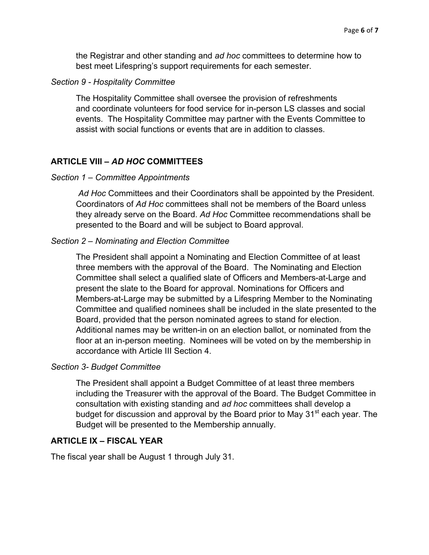the Registrar and other standing and *ad hoc* committees to determine how to best meet Lifespring's support requirements for each semester.

### *Section 9 - Hospitality Committee*

The Hospitality Committee shall oversee the provision of refreshments and coordinate volunteers for food service for in-person LS classes and social events. The Hospitality Committee may partner with the Events Committee to assist with social functions or events that are in addition to classes.

### **ARTICLE VIII –** *AD HOC* **COMMITTEES**

#### *Section 1 – Committee Appointments*

*Ad Hoc* Committees and their Coordinators shall be appointed by the President. Coordinators of *Ad Hoc* committees shall not be members of the Board unless they already serve on the Board. *Ad Hoc* Committee recommendations shall be presented to the Board and will be subject to Board approval.

#### *Section 2 – Nominating and Election Committee*

The President shall appoint a Nominating and Election Committee of at least three members with the approval of the Board. The Nominating and Election Committee shall select a qualified slate of Officers and Members-at-Large and present the slate to the Board for approval. Nominations for Officers and Members-at-Large may be submitted by a Lifespring Member to the Nominating Committee and qualified nominees shall be included in the slate presented to the Board, provided that the person nominated agrees to stand for election. Additional names may be written-in on an election ballot, or nominated from the floor at an in-person meeting. Nominees will be voted on by the membership in accordance with Article III Section 4.

#### *Section 3- Budget Committee*

The President shall appoint a Budget Committee of at least three members including the Treasurer with the approval of the Board. The Budget Committee in consultation with existing standing and *ad hoc* committees shall develop a budget for discussion and approval by the Board prior to May 31<sup>st</sup> each year. The Budget will be presented to the Membership annually.

### **ARTICLE IX – FISCAL YEAR**

The fiscal year shall be August 1 through July 31.